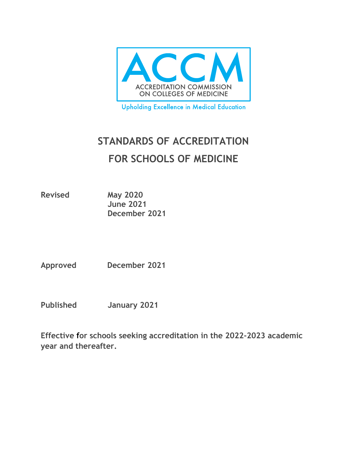

**Upholding Excellence in Medical Education** 

# **STANDARDS OF ACCREDITATION FOR SCHOOLS OF MEDICINE**

**Revised May 2020 June 2021 December 2021**

**Approved December 2021**

**Published January 2021**

**Effective for schools seeking accreditation in the 2022-2023 academic year and thereafter.**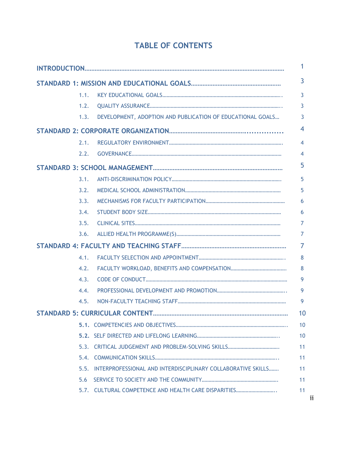| <b>TABLE OF CONTENTS</b> |  |  |
|--------------------------|--|--|
|--------------------------|--|--|

|      |                                                              | 1              |
|------|--------------------------------------------------------------|----------------|
|      |                                                              | $\overline{3}$ |
| 1.1. |                                                              | 3              |
| 1.2. |                                                              | 3              |
| 1.3. | DEVELOPMENT, ADOPTION AND PUBLICATION OF EDUCATIONAL GOALS   | 3              |
|      |                                                              | 4              |
| 2.1. |                                                              | $\overline{4}$ |
| 2.2. |                                                              | $\overline{4}$ |
|      |                                                              | 5              |
| 3.1. |                                                              | 5              |
| 3.2. |                                                              | 5              |
| 3.3. |                                                              | 6              |
| 3.4. |                                                              | 6              |
| 3.5. |                                                              | 7              |
| 3.6. |                                                              | $\overline{7}$ |
|      |                                                              | $\overline{7}$ |
| 4.1. |                                                              | 8              |
| 4.2. |                                                              | 8              |
| 4.3. |                                                              | 9              |
| 4.4. |                                                              | 9              |
| 4.5. |                                                              | 9              |
|      |                                                              | 10             |
|      |                                                              | 10             |
|      |                                                              | 10             |
|      |                                                              | 11             |
| 5.4. |                                                              | 11             |
| 5.5. | INTERPROFESSIONAL AND INTERDISCIPLINARY COLLABORATIVE SKILLS | 11             |
| 5.6  |                                                              | 11             |
|      | 5.7. CULTURAL COMPETENCE AND HEALTH CARE DISPARITIES         | 11             |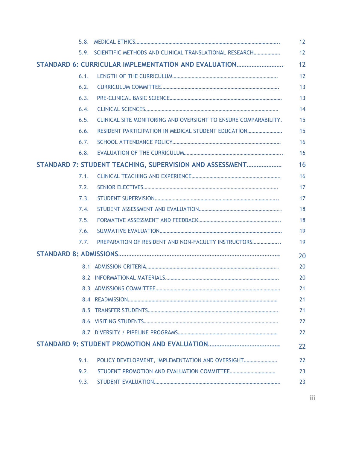|      |                                                                 | 12 |
|------|-----------------------------------------------------------------|----|
|      | 5.9. SCIENTIFIC METHODS AND CLINICAL TRANSLATIONAL RESEARCH     | 12 |
|      | STANDARD 6: CURRICULAR IMPLEMENTATION AND EVALUATION            | 12 |
| 6.1. |                                                                 | 12 |
| 6.2. |                                                                 | 13 |
| 6.3. |                                                                 | 13 |
| 6.4. |                                                                 | 14 |
| 6.5. | CLINICAL SITE MONITORING AND OVERSIGHT TO ENSURE COMPARABILITY. | 15 |
| 6.6. | RESIDENT PARTICIPATION IN MEDICAL STUDENT EDUCATION             | 15 |
| 6.7. |                                                                 | 16 |
| 6.8. |                                                                 | 16 |
|      | STANDARD 7: STUDENT TEACHING, SUPERVISION AND ASSESSMENT        | 16 |
| 7.1. |                                                                 | 16 |
| 7.2. |                                                                 | 17 |
| 7.3. |                                                                 | 17 |
| 7.4. |                                                                 | 18 |
| 7.5. |                                                                 | 18 |
| 7.6. |                                                                 | 19 |
| 7.7. | PREPARATION OF RESIDENT AND NON-FACULTY INSTRUCTORS             | 19 |
|      |                                                                 | 20 |
|      |                                                                 | 20 |
|      |                                                                 | 20 |
|      |                                                                 | 21 |
|      |                                                                 | 21 |
|      |                                                                 | 21 |
|      |                                                                 | 22 |
|      |                                                                 | 22 |
|      |                                                                 | 22 |
| 9.1. | POLICY DEVELOPMENT, IMPLEMENTATION AND OVERSIGHT                | 22 |
| 9.2. |                                                                 | 23 |
| 9.3. |                                                                 | 23 |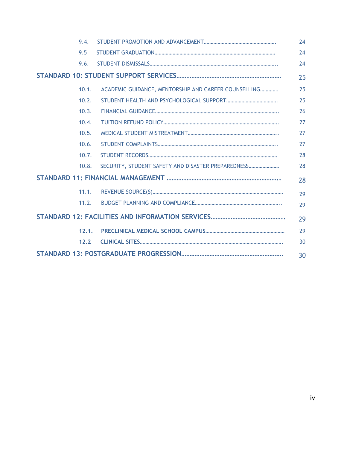| 9.4. |       |                                                      | 24 |
|------|-------|------------------------------------------------------|----|
| 9.5  |       |                                                      | 24 |
|      | 9.6.  |                                                      | 24 |
|      |       | 25                                                   |    |
|      | 10.1. | ACADEMIC GUIDANCE, MENTORSHIP AND CAREER COUNSELLING | 25 |
|      | 10.2. |                                                      | 25 |
|      | 10.3. |                                                      | 26 |
|      | 10.4. |                                                      | 27 |
|      | 10.5. |                                                      | 27 |
|      | 10.6. |                                                      | 27 |
|      | 10.7. |                                                      | 28 |
|      | 10.8. | SECURITY, STUDENT SAFETY AND DISASTER PREPAREDNESS   | 28 |
|      |       | 28                                                   |    |
|      | 11.1. |                                                      | 29 |
|      | 11.2. |                                                      | 29 |
|      |       | 29                                                   |    |
|      | 12.1. |                                                      | 29 |
|      | 12.2  |                                                      | 30 |
|      |       |                                                      | 30 |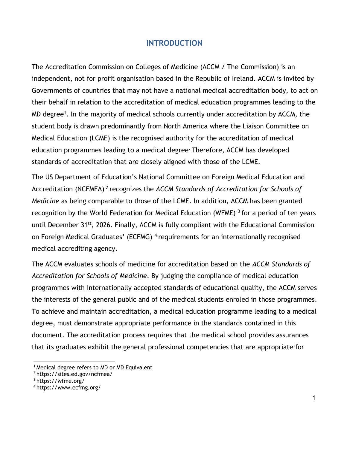# **INTRODUCTION**

The Accreditation Commission on Colleges of Medicine (ACCM / The Commission) is an independent, not for profit organisation based in the Republic of Ireland. ACCM is invited by Governments of countries that may not have a national medical accreditation body, to act on their behalf in relation to the accreditation of medical education programmes leading to the MD degree<sup>1</sup>. In the majority of medical schools currently under accreditation by ACCM, the student body is drawn predominantly from North America where the Liaison Committee on Medical Education (LCME) is the recognised authority for the accreditation of medical education programmes leading to a medical degree. Therefore, ACCM has developed standards of accreditation that are closely aligned with those of the LCME.

The US Department of Education's National Committee on Foreign Medical Education and Accreditation (NCFMEA)<sup>2</sup> recognizes the *ACCM Standards of Accreditation for Schools of Medicine* as being comparable to those of the LCME. In addition, ACCM has been granted recognition by the World Federation for Medical Education (WFME)  $3$  for a period of ten years until December 31st, 2026. Finally, ACCM is fully compliant with the Educational Commission on Foreign Medical Graduates' (ECFMG) <sup>4</sup>requirements for an internationally recognised medical accrediting agency.

The ACCM evaluates schools of medicine for accreditation based on the *ACCM Standards of Accreditation for Schools of Medicine*. By judging the compliance of medical education programmes with internationally accepted standards of educational quality, the ACCM serves the interests of the general public and of the medical students enroled in those programmes. To achieve and maintain accreditation, a medical education programme leading to a medical degree, must demonstrate appropriate performance in the standards contained in this document. The accreditation process requires that the medical school provides assurances that its graduates exhibit the general professional competencies that are appropriate for

<sup>&</sup>lt;sup>1</sup> Medical degree refers to MD or MD Equivalent

<sup>&</sup>lt;sup>2</sup> https://sites.ed.gov/ncfmea/

<sup>3</sup>https://wfme.org/

<sup>4</sup> https:/[/www.ecfmg.org/](http://www.ecfmg.org/)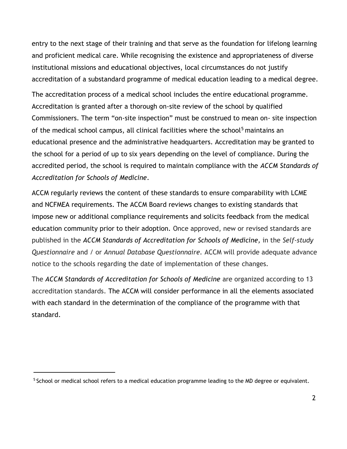entry to the next stage of their training and that serve as the foundation for lifelong learning and proficient medical care. While recognising the existence and appropriateness of diverse institutional missions and educational objectives, local circumstances do not justify accreditation of a substandard programme of medical education leading to a medical degree.

The accreditation process of a medical school includes the entire educational programme. Accreditation is granted after a thorough on-site review of the school by qualified Commissioners. The term "on-site inspection" must be construed to mean on- site inspection of the medical school campus, all clinical facilities where the school<sup>5</sup> maintains an educational presence and the administrative headquarters. Accreditation may be granted to the school for a period of up to six years depending on the level of compliance. During the accredited period, the school is required to maintain compliance with the *ACCM Standards of Accreditation for Schools of Medicine*.

ACCM regularly reviews the content of these standards to ensure comparability with LCME and NCFMEA requirements. The ACCM Board reviews changes to existing standards that impose new or additional compliance requirements and solicits feedback from the medical education community prior to their adoption. Once approved, new or revised standards are published in the *ACCM Standards of Accreditation for Schools of Medicine,* in the *Self-study Questionnaire* and / or *Annual Database Questionnaire.* ACCM will provide adequate advance notice to the schools regarding the date of implementation of these changes.

The *ACCM Standards of Accreditation for Schools of Medicine* are organized according to 13 accreditation standards. The ACCM will consider performance in all the elements associated with each standard in the determination of the compliance of the programme with that standard.

<sup>&</sup>lt;sup>5</sup> School or medical school refers to a medical education programme leading to the MD degree or equivalent.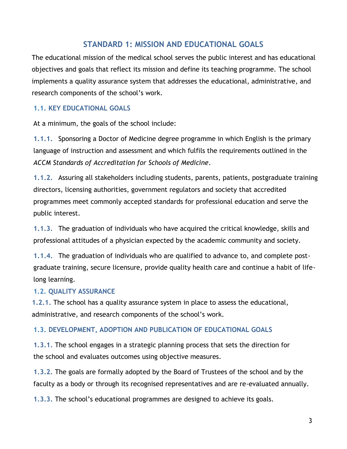# **STANDARD 1: MISSION AND EDUCATIONAL GOALS**

The educational mission of the medical school serves the public interest and has educational objectives and goals that reflect its mission and define its teaching programme. The school implements a quality assurance system that addresses the educational, administrative, and research components of the school's work.

# **1.1. KEY EDUCATIONAL GOALS**

At a minimum, the goals of the school include:

**1.1.1.** Sponsoring a Doctor of Medicine degree programme in which English is the primary language of instruction and assessment and which fulfils the requirements outlined in the *ACCM Standards of Accreditation for Schools of Medicine*.

**1.1.2.** Assuring all stakeholders including students, parents, patients, postgraduate training directors, licensing authorities, government regulators and society that accredited programmes meet commonly accepted standards for professional education and serve the public interest.

**1.1.3.** The graduation of individuals who have acquired the critical knowledge, skills and professional attitudes of a physician expected by the academic community and society.

**1.1.4.** The graduation of individuals who are qualified to advance to, and complete postgraduate training, secure licensure, provide quality health care and continue a habit of lifelong learning.

# **1.2. QUALITY ASSURANCE**

**1.2.1.** The school has a quality assurance system in place to assess the educational, administrative, and research components of the school's work.

# **1.3. DEVELOPMENT, ADOPTION AND PUBLICATION OF EDUCATIONAL GOALS**

**1.3.1.** The school engages in a strategic planning process that sets the direction for the school and evaluates outcomes using objective measures.

**1.3.2.** The goals are formally adopted by the Board of Trustees of the school and by the faculty as a body or through its recognised representatives and are re-evaluated annually.

**1.3.3.** The school's educational programmes are designed to achieve its goals.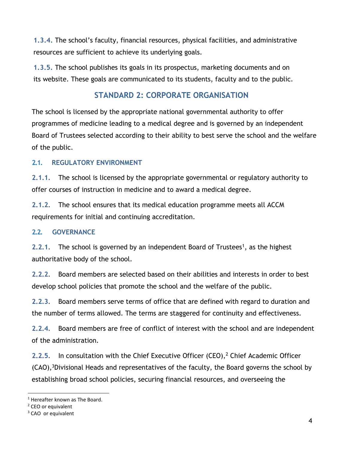**1.3.4.** The school's faculty, financial resources, physical facilities, and administrative resources are sufficient to achieve its underlying goals.

**1.3.5.** The school publishes its goals in its prospectus, marketing documents and on its website. These goals are communicated to its students, faculty and to the public.

# **STANDARD 2: CORPORATE ORGANISATION**

The school is licensed by the appropriate national governmental authority to offer programmes of medicine leading to a medical degree and is governed by an independent Board of Trustees selected according to their ability to best serve the school and the welfare of the public.

# **2.1. REGULATORY ENVIRONMENT**

**2.1.1.** The school is licensed by the appropriate governmental or regulatory authority to offer courses of instruction in medicine and to award a medical degree.

**2.1.2.** The school ensures that its medical education programme meets all ACCM requirements for initial and continuing accreditation.

#### **2.2. GOVERNANCE**

**2.2.1.** The school is governed by an independent Board of Trustees<sup>1</sup>, as the highest authoritative body of the school.

**2.2.2.** Board members are selected based on their abilities and interests in order to best develop school policies that promote the school and the welfare of the public.

**2.2.3.** Board members serve terms of office that are defined with regard to duration and the number of terms allowed. The terms are staggered for continuity and effectiveness.

**2.2.4.** Board members are free of conflict of interest with the school and are independent of the administration.

2.2.5. In consultation with the Chief Executive Officer (CEO),<sup>2</sup> Chief Academic Officer  $(CAO)$ ,<sup>3</sup>Divisional Heads and representatives of the faculty, the Board governs the school by establishing broad school policies, securing financial resources, and overseeing the

<sup>1</sup> Hereafter known as The Board.

<sup>&</sup>lt;sup>2</sup> CEO or equivalent

<sup>&</sup>lt;sup>3</sup> CAO or equivalent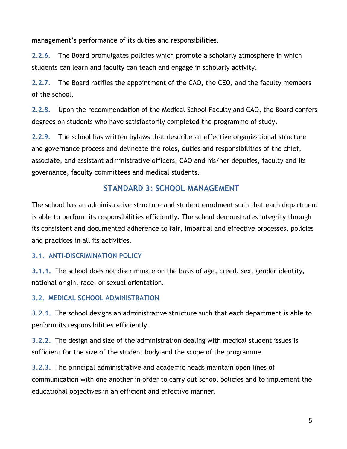management's performance of its duties and responsibilities.

**2.2.6.** The Board promulgates policies which promote a scholarly atmosphere in which students can learn and faculty can teach and engage in scholarly activity.

**2.2.7.** The Board ratifies the appointment of the CAO, the CEO, and the faculty members of the school.

**2.2.8.** Upon the recommendation of the Medical School Faculty and CAO, the Board confers degrees on students who have satisfactorily completed the programme of study.

**2.2.9.** The school has written bylaws that describe an effective organizational structure and governance process and delineate the roles, duties and responsibilities of the chief, associate, and assistant administrative officers, CAO and his/her deputies, faculty and its governance, faculty committees and medical students.

# **STANDARD 3: SCHOOL MANAGEMENT**

The school has an administrative structure and student enrolment such that each department is able to perform its responsibilities efficiently. The school demonstrates integrity through its consistent and documented adherence to fair, impartial and effective processes, policies and practices in all its activities.

# **3.1. ANTI-DISCRIMINATION POLICY**

**3.1.1.** The school does not discriminate on the basis of age, creed, sex, gender identity, national origin, race, or sexual orientation.

# **3.2. MEDICAL SCHOOL ADMINISTRATION**

**3.2.1.** The school designs an administrative structure such that each department is able to perform its responsibilities efficiently.

**3.2.2.** The design and size of the administration dealing with medical student issues is sufficient for the size of the student body and the scope of the programme.

**3.2.3.** The principal administrative and academic heads maintain open lines of communication with one another in order to carry out school policies and to implement the educational objectives in an efficient and effective manner.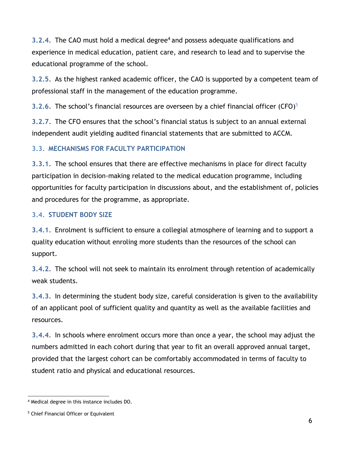**3.2.4.** The CAO must hold a medical degree<sup>4</sup> and possess adequate qualifications and experience in medical education, patient care, and research to lead and to supervise the educational programme of the school.

**3.2.5.** As the highest ranked academic officer, the CAO is supported by a competent team of professional staff in the management of the education programme.

**3.2.6.** The school's financial resources are overseen by a chief financial officer (CFO) 5

**3.2.7.** The CFO ensures that the school's financial status is subject to an annual external independent audit yielding audited financial statements that are submitted to ACCM.

# **3.3. MECHANISMS FOR FACULTY PARTICIPATION**

**3.3.1.** The school ensures that there are effective mechanisms in place for direct faculty participation in decision-making related to the medical education programme, including opportunities for faculty participation in discussions about, and the establishment of, policies and procedures for the programme, as appropriate.

# **3.4. STUDENT BODY SIZE**

**3.4.1.** Enrolment is sufficient to ensure a collegial atmosphere of learning and to support a quality education without enroling more students than the resources of the school can support.

**3.4.2.** The school will not seek to maintain its enrolment through retention of academically weak students.

**3.4.3.** In determining the student body size, careful consideration is given to the availability of an applicant pool of sufficient quality and quantity as well as the available facilities and resources.

**3.4.4.** In schools where enrolment occurs more than once a year, the school may adjust the numbers admitted in each cohort during that year to fit an overall approved annual target, provided that the largest cohort can be comfortably accommodated in terms of faculty to student ratio and physical and educational resources.

<sup>4</sup> Medical degree in this instance includes DO.

<sup>5</sup> Chief Financial Officer or Equivalent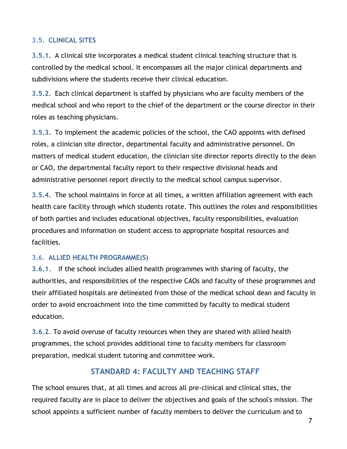### **3.5. CLINICAL SITES**

**3.5.1.** A clinical site incorporates a medical student clinical teaching structure that is controlled by the medical school. It encompasses all the major clinical departments and subdivisions where the students receive their clinical education.

**3.5.2.** Each clinical department is staffed by physicians who are faculty members of the medical school and who report to the chief of the department or the course director in their roles as teaching physicians.

**3.5.3.** To implement the academic policies of the school, the CAO appoints with defined roles, a clinician site director, departmental faculty and administrative personnel. On matters of medical student education, the clinician site director reports directly to the dean or CAO, the departmental faculty report to their respective divisional heads and administrative personnel report directly to the medical school campus supervisor.

**3.5.4.** The school maintains in force at all times, a written affiliation agreement with each health care facility through which students rotate. This outlines the roles and responsibilities of both parties and includes educational objectives, faculty responsibilities, evaluation procedures and information on student access to appropriate hospital resources and facilities.

#### **3.6. ALLIED HEALTH PROGRAMME(S)**

**3.6.1.** If the school includes allied health programmes with sharing of faculty, the authorities, and responsibilities of the respective CAOs and faculty of these programmes and their affiliated hospitals are delineated from those of the medical school dean and faculty in order to avoid encroachment into the time committed by faculty to medical student education.

**3.6.2.** To avoid overuse of faculty resources when they are shared with allied health programmes, the school provides additional time to faculty members for classroom preparation, medical student tutoring and committee work.

# **STANDARD 4: FACULTY AND TEACHING STAFF**

The school ensures that, at all times and across all pre-clinical and clinical sites, the required faculty are in place to deliver the objectives and goals of the school's mission. The school appoints a sufficient number of faculty members to deliver the curriculum and to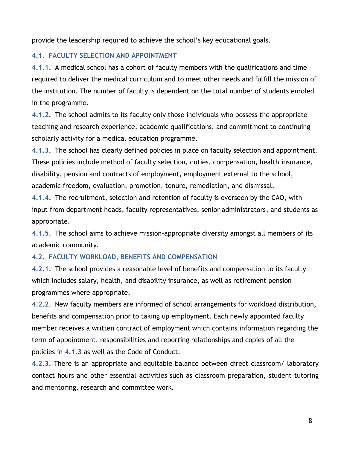provide the leadership required to achieve the school's key educational goals.

# **4.1. FACULTY SELECTION AND APPOINTMENT**

**4.1.1.** A medical school has a cohort of faculty members with the qualifications and time required to deliver the medical curriculum and to meet other needs and fulfill the mission of the institution. The number of faculty is dependent on the total number of students enroled in the programme.

**4.1.2.** The school admits to its faculty only those individuals who possess the appropriate teaching and research experience, academic qualifications, and commitment to continuing scholarly activity for a medical education programme.

**4.1.3.** The school has clearly defined policies in place on faculty selection and appointment. These policies include method of faculty selection, duties, compensation, health insurance, disability, pension and contracts of employment, employment external to the school, academic freedom, evaluation, promotion, tenure, remediation, and dismissal.

**4.1.4.** The recruitment, selection and retention of faculty is overseen by the CAO, with input from department heads, faculty representatives, senior administrators, and students as appropriate.

**4.1.5.** The school aims to achieve mission-appropriate diversity amongst all members of its academic community.

# **4.2. FACULTY WORKLOAD, BENEFITS AND COMPENSATION**

**4.2.1.** The school provides a reasonable level of benefits and compensation to its faculty which includes salary, health, and disability insurance, as well as retirement pension programmes where appropriate.

**4.2.2.** New faculty members are informed of school arrangements for workload distribution, benefits and compensation prior to taking up employment. Each newly appointed faculty member receives a written contract of employment which contains information regarding the term of appointment, responsibilities and reporting relationships and copies of all the policies in **4.1.3** as well as the Code of Conduct.

**4.2.3.** There is an appropriate and equitable balance between direct classroom/ laboratory contact hours and other essential activities such as classroom preparation, student tutoring and mentoring, research and committee work.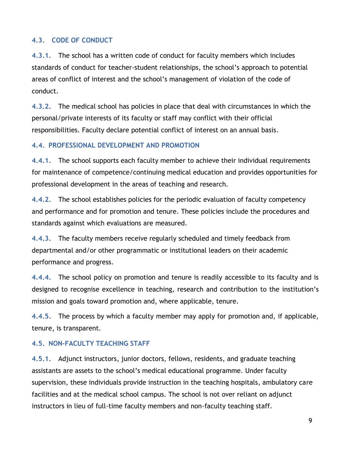#### **4.3. CODE OF CONDUCT**

**4.3.1.** The school has a written code of conduct for faculty members which includes standards of conduct for teacher-student relationships, the school's approach to potential areas of conflict of interest and the school's management of violation of the code of conduct.

**4.3.2.** The medical school has policies in place that deal with circumstances in which the personal/private interests of its faculty or staff may conflict with their official responsibilities. Faculty declare potential conflict of interest on an annual basis.

#### **4.4. PROFESSIONAL DEVELOPMENT AND PROMOTION**

**4.4.1.** The school supports each faculty member to achieve their individual requirements for maintenance of competence/continuing medical education and provides opportunities for professional development in the areas of teaching and research.

**4.4.2.** The school establishes policies for the periodic evaluation of faculty competency and performance and for promotion and tenure. These policies include the procedures and standards against which evaluations are measured.

**4.4.3.** The faculty members receive regularly scheduled and timely feedback from departmental and/or other programmatic or institutional leaders on their academic performance and progress.

**4.4.4.** The school policy on promotion and tenure is readily accessible to its faculty and is designed to recognise excellence in teaching, research and contribution to the institution's mission and goals toward promotion and, where applicable, tenure.

**4.4.5.** The process by which a faculty member may apply for promotion and, if applicable, tenure, is transparent.

#### **4.5. NON-FACULTY TEACHING STAFF**

**4.5.1.** Adjunct instructors, junior doctors, fellows, residents, and graduate teaching assistants are assets to the school's medical educational programme. Under faculty supervision, these individuals provide instruction in the teaching hospitals, ambulatory care facilities and at the medical school campus. The school is not over reliant on adjunct instructors in lieu of full-time faculty members and non-faculty teaching staff.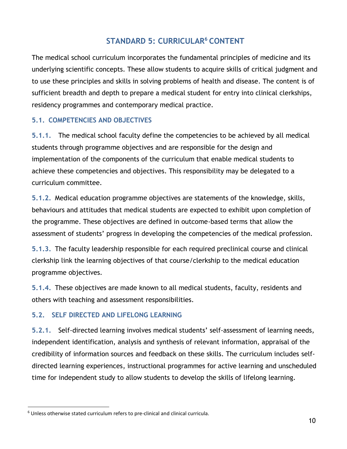# **STANDARD 5: CURRICULAR<sup>6</sup> CONTENT**

The medical school curriculum incorporates the fundamental principles of medicine and its underlying scientific concepts. These allow students to acquire skills of critical judgment and to use these principles and skills in solving problems of health and disease. The content is of sufficient breadth and depth to prepare a medical student for entry into clinical clerkships, residency programmes and contemporary medical practice.

#### **5.1. COMPETENCIES AND OBJECTIVES**

**5.1.1.** The medical school faculty define the competencies to be achieved by all medical students through programme objectives and are responsible for the design and implementation of the components of the curriculum that enable medical students to achieve these competencies and objectives. This responsibility may be delegated to a curriculum committee.

**5.1.2.** Medical education programme objectives are statements of the knowledge, skills, behaviours and attitudes that medical students are expected to exhibit upon completion of the programme. These objectives are defined in outcome-based terms that allow the assessment of students' progress in developing the competencies of the medical profession.

**5.1.3.** The faculty leadership responsible for each required preclinical course and clinical clerkship link the learning objectives of that course/clerkship to the medical education programme objectives.

**5.1.4.** These objectives are made known to all medical students, faculty, residents and others with teaching and assessment responsibilities.

#### **5.2. SELF DIRECTED AND LIFELONG LEARNING**

**5.2.1.** Self-directed learning involves medical students' self-assessment of learning needs, independent identification, analysis and synthesis of relevant information, appraisal of the credibility of information sources and feedback on these skills. The curriculum includes selfdirected learning experiences, instructional programmes for active learning and unscheduled time for independent study to allow students to develop the skills of lifelong learning.

<sup>6</sup> Unless otherwise stated curriculum refers to pre-clinical and clinical curricula.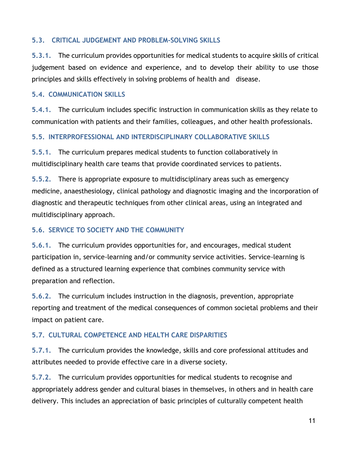### **5.3. CRITICAL JUDGEMENT AND PROBLEM-SOLVING SKILLS**

**5.3.1.** The curriculum provides opportunities for medical students to acquire skills of critical judgement based on evidence and experience, and to develop their ability to use those principles and skills effectively in solving problems of health and disease.

#### **5.4. COMMUNICATION SKILLS**

**5.4.1.** The curriculum includes specific instruction in communication skills as they relate to communication with patients and their families, colleagues, and other health professionals.

#### **5.5. INTERPROFESSIONAL AND INTERDISCIPLINARY COLLABORATIVE SKILLS**

**5.5.1.** The curriculum prepares medical students to function collaboratively in multidisciplinary health care teams that provide coordinated services to patients.

**5.5.2.** There is appropriate exposure to multidisciplinary areas such as emergency medicine, anaesthesiology, clinical pathology and diagnostic imaging and the incorporation of diagnostic and therapeutic techniques from other clinical areas, using an integrated and multidisciplinary approach.

# **5.6. SERVICE TO SOCIETY AND THE COMMUNITY**

**5.6.1.** The curriculum provides opportunities for, and encourages, medical student participation in, service-learning and/or community service activities. Service-learning is defined as a structured learning experience that combines community service with preparation and reflection.

**5.6.2.** The curriculum includes instruction in the diagnosis, prevention, appropriate reporting and treatment of the medical consequences of common societal problems and their impact on patient care.

# **5.7. CULTURAL COMPETENCE AND HEALTH CARE DISPARITIES**

**5.7.1.** The curriculum provides the knowledge, skills and core professional attitudes and attributes needed to provide effective care in a diverse society.

**5.7.2.** The curriculum provides opportunities for medical students to recognise and appropriately address gender and cultural biases in themselves, in others and in health care delivery. This includes an appreciation of basic principles of culturally competent health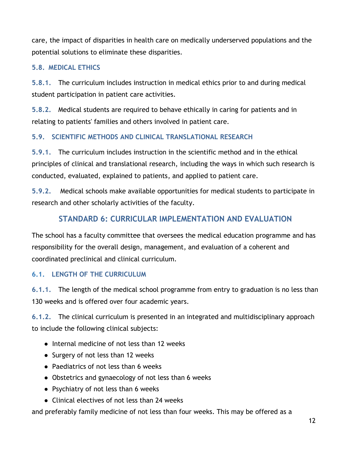care, the impact of disparities in health care on medically underserved populations and the potential solutions to eliminate these disparities.

# **5.8. MEDICAL ETHICS**

**5.8.1.** The curriculum includes instruction in medical ethics prior to and during medical student participation in patient care activities.

**5.8.2.** Medical students are required to behave ethically in caring for patients and in relating to patients' families and others involved in patient care.

# **5.9. SCIENTIFIC METHODS AND CLINICAL TRANSLATIONAL RESEARCH**

**5.9.1.** The curriculum includes instruction in the scientific method and in the ethical principles of clinical and translational research, including the ways in which such research is conducted, evaluated, explained to patients, and applied to patient care.

**5.9.2.** Medical schools make available opportunities for medical students to participate in research and other scholarly activities of the faculty.

# **STANDARD 6: CURRICULAR IMPLEMENTATION AND EVALUATION**

The school has a faculty committee that oversees the medical education programme and has responsibility for the overall design, management, and evaluation of a coherent and coordinated preclinical and clinical curriculum.

# **6.1. LENGTH OF THE CURRICULUM**

**6.1.1.** The length of the medical school programme from entry to graduation is no less than 130 weeks and is offered over four academic years.

**6.1.2.** The clinical curriculum is presented in an integrated and multidisciplinary approach to include the following clinical subjects:

- Internal medicine of not less than 12 weeks
- Surgery of not less than 12 weeks
- Paediatrics of not less than 6 weeks
- Obstetrics and gynaecology of not less than 6 weeks
- Psychiatry of not less than 6 weeks
- Clinical electives of not less than 24 weeks

and preferably family medicine of not less than four weeks. This may be offered as a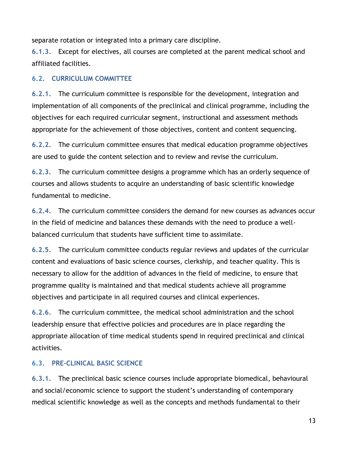separate rotation or integrated into a primary care discipline.

**6.1.3.** Except for electives, all courses are completed at the parent medical school and affiliated facilities.

# **6.2. CURRICULUM COMMITTEE**

**6.2.1.** The curriculum committee is responsible for the development, integration and implementation of all components of the preclinical and clinical programme, including the objectives for each required curricular segment, instructional and assessment methods appropriate for the achievement of those objectives, content and content sequencing.

**6.2.2.** The curriculum committee ensures that medical education programme objectives are used to guide the content selection and to review and revise the curriculum.

**6.2.3.** The curriculum committee designs a programme which has an orderly sequence of courses and allows students to acquire an understanding of basic scientific knowledge fundamental to medicine.

**6.2.4.** The curriculum committee considers the demand for new courses as advances occur in the field of medicine and balances these demands with the need to produce a wellbalanced curriculum that students have sufficient time to assimilate.

**6.2.5.** The curriculum committee conducts regular reviews and updates of the curricular content and evaluations of basic science courses, clerkship, and teacher quality. This is necessary to allow for the addition of advances in the field of medicine, to ensure that programme quality is maintained and that medical students achieve all programme objectives and participate in all required courses and clinical experiences.

**6.2.6.** The curriculum committee, the medical school administration and the school leadership ensure that effective policies and procedures are in place regarding the appropriate allocation of time medical students spend in required preclinical and clinical activities.

# **6.3. PRE-CLINICAL BASIC SCIENCE**

**6.3.1.** The preclinical basic science courses include appropriate biomedical, behavioural and social/economic science to support the student's understanding of contemporary medical scientific knowledge as well as the concepts and methods fundamental to their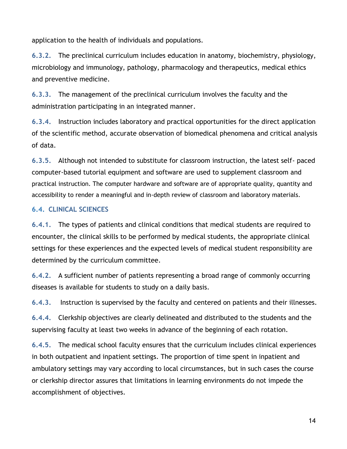application to the health of individuals and populations.

**6.3.2.** The preclinical curriculum includes education in anatomy, biochemistry, physiology, microbiology and immunology, pathology, pharmacology and therapeutics, medical ethics and preventive medicine.

**6.3.3.** The management of the preclinical curriculum involves the faculty and the administration participating in an integrated manner.

**6.3.4.** Instruction includes laboratory and practical opportunities for the direct application of the scientific method, accurate observation of biomedical phenomena and critical analysis of data.

**6.3.5.** Although not intended to substitute for classroom instruction, the latest self- paced computer-based tutorial equipment and software are used to supplement classroom and practical instruction. The computer hardware and software are of appropriate quality, quantity and accessibility to render a meaningful and in-depth review of classroom and laboratory materials.

# **6.4. CLINICAL SCIENCES**

**6.4.1.** The types of patients and clinical conditions that medical students are required to encounter, the clinical skills to be performed by medical students, the appropriate clinical settings for these experiences and the expected levels of medical student responsibility are determined by the curriculum committee.

**6.4.2.** A sufficient number of patients representing a broad range of commonly occurring diseases is available for students to study on a daily basis.

**6.4.3.** Instruction is supervised by the faculty and centered on patients and their illnesses.

**6.4.4.** Clerkship objectives are clearly delineated and distributed to the students and the supervising faculty at least two weeks in advance of the beginning of each rotation.

**6.4.5.** The medical school faculty ensures that the curriculum includes clinical experiences in both outpatient and inpatient settings. The proportion of time spent in inpatient and ambulatory settings may vary according to local circumstances, but in such cases the course or clerkship director assures that limitations in learning environments do not impede the accomplishment of objectives.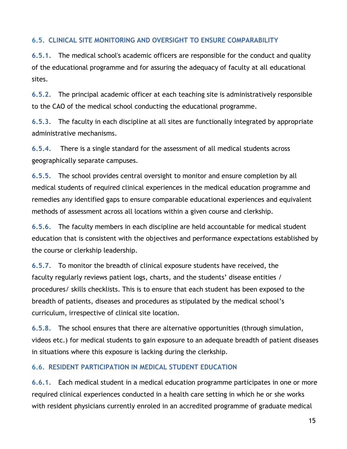# **6.5. CLINICAL SITE MONITORING AND OVERSIGHT TO ENSURE COMPARABILITY**

**6.5.1.** The medical school's academic officers are responsible for the conduct and quality of the educational programme and for assuring the adequacy of faculty at all educational sites.

**6.5.2.** The principal academic officer at each teaching site is administratively responsible to the CAO of the medical school conducting the educational programme.

**6.5.3.** The faculty in each discipline at all sites are functionally integrated by appropriate administrative mechanisms.

**6.5.4.** There is a single standard for the assessment of all medical students across geographically separate campuses.

**6.5.5.** The school provides central oversight to monitor and ensure completion by all medical students of required clinical experiences in the medical education programme and remedies any identified gaps to ensure comparable educational experiences and equivalent methods of assessment across all locations within a given course and clerkship.

**6.5.6.** The faculty members in each discipline are held accountable for medical student education that is consistent with the objectives and performance expectations established by the course or clerkship leadership.

**6.5.7.** To monitor the breadth of clinical exposure students have received, the faculty regularly reviews patient logs, charts, and the students' disease entities / procedures/ skills checklists. This is to ensure that each student has been exposed to the breadth of patients, diseases and procedures as stipulated by the medical school's curriculum, irrespective of clinical site location.

**6.5.8.** The school ensures that there are alternative opportunities (through simulation, videos etc.) for medical students to gain exposure to an adequate breadth of patient diseases in situations where this exposure is lacking during the clerkship.

#### **6.6. RESIDENT PARTICIPATION IN MEDICAL STUDENT EDUCATION**

**6.6.1.** Each medical student in a medical education programme participates in one or more required clinical experiences conducted in a health care setting in which he or she works with resident physicians currently enroled in an accredited programme of graduate medical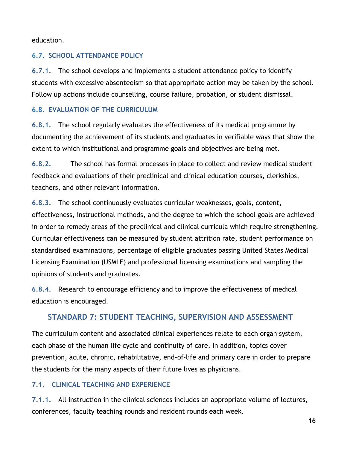education.

# **6.7. SCHOOL ATTENDANCE POLICY**

**6.7.1.** The school develops and implements a student attendance policy to identify students with excessive absenteeism so that appropriate action may be taken by the school. Follow up actions include counselling, course failure, probation, or student dismissal.

# **6.8. EVALUATION OF THE CURRICULUM**

**6.8.1.** The school regularly evaluates the effectiveness of its medical programme by documenting the achievement of its students and graduates in verifiable ways that show the extent to which institutional and programme goals and objectives are being met.

**6.8.2.** The school has formal processes in place to collect and review medical student feedback and evaluations of their preclinical and clinical education courses, clerkships, teachers, and other relevant information.

**6.8.3.** The school continuously evaluates curricular weaknesses, goals, content, effectiveness, instructional methods, and the degree to which the school goals are achieved in order to remedy areas of the preclinical and clinical curricula which require strengthening. Curricular effectiveness can be measured by student attrition rate, student performance on standardised examinations, percentage of eligible graduates passing United States Medical Licensing Examination (USMLE) and professional licensing examinations and sampling the opinions of students and graduates.

**6.8.4.** Research to encourage efficiency and to improve the effectiveness of medical education is encouraged.

# **STANDARD 7: STUDENT TEACHING, SUPERVISION AND ASSESSMENT**

The curriculum content and associated clinical experiences relate to each organ system, each phase of the human life cycle and continuity of care. In addition, topics cover prevention, acute, chronic, rehabilitative, end-of-life and primary care in order to prepare the students for the many aspects of their future lives as physicians.

# **7.1. CLINICAL TEACHING AND EXPERIENCE**

**7.1.1.** All instruction in the clinical sciences includes an appropriate volume of lectures, conferences, faculty teaching rounds and resident rounds each week.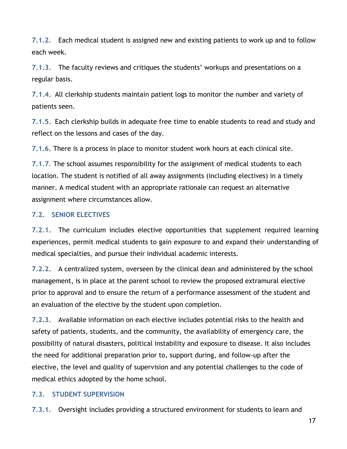**7.1.2.** Each medical student is assigned new and existing patients to work up and to follow each week.

**7.1.3.** The faculty reviews and critiques the students' workups and presentations on a regular basis.

**7.1.4.** All clerkship students maintain patient logs to monitor the number and variety of patients seen.

**7.1.5.** Each clerkship builds in adequate free time to enable students to read and study and reflect on the lessons and cases of the day.

**7.1.6.** There is a process in place to monitor student work hours at each clinical site.

**7.1.7.** The school assumes responsibility for the assignment of medical students to each location. The student is notified of all away assignments (including electives) in a timely manner. A medical student with an appropriate rationale can request an alternative assignment where circumstances allow.

#### **7.2. SENIOR ELECTIVES**

**7.2.1.** The curriculum includes elective opportunities that supplement required learning experiences, permit medical students to gain exposure to and expand their understanding of medical specialties, and pursue their individual academic interests.

**7.2.2.** A centralized system, overseen by the clinical dean and administered by the school management, is in place at the parent school to review the proposed extramural elective prior to approval and to ensure the return of a performance assessment of the student and an evaluation of the elective by the student upon completion.

**7.2.3.** Available information on each elective includes potential risks to the health and safety of patients, students, and the community, the availability of emergency care, the possibility of natural disasters, political instability and exposure to disease. It also includes the need for additional preparation prior to, support during, and follow-up after the elective, the level and quality of supervision and any potential challenges to the code of medical ethics adopted by the home school.

# **7.3. STUDENT SUPERVISION**

**7.3.1.** Oversight includes providing a structured environment for students to learn and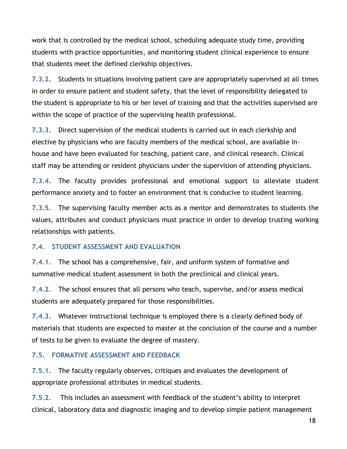work that is controlled by the medical school, scheduling adequate study time, providing students with practice opportunities, and monitoring student clinical experience to ensure that students meet the defined clerkship objectives.

**7.3.2.** Students in situations involving patient care are appropriately supervised at all times in order to ensure patient and student safety, that the level of responsibility delegated to the student is appropriate to his or her level of training and that the activities supervised are within the scope of practice of the supervising health professional.

**7.3.3.** Direct supervision of the medical students is carried out in each clerkship and elective by physicians who are faculty members of the medical school, are available inhouse and have been evaluated for teaching, patient care, and clinical research. Clinical staff may be attending or resident physicians under the supervision of attending physicians.

**7.3.4.** The faculty provides professional and emotional support to alleviate student performance anxiety and to foster an environment that is conducive to student learning.

**7.3.5.** The supervising faculty member acts as a mentor and demonstrates to students the values, attributes and conduct physicians must practice in order to develop trusting working relationships with patients.

#### **7.4. STUDENT ASSESSMENT AND EVALUATION**

**7.4.1.** The school has a comprehensive, fair, and uniform system of formative and summative medical student assessment in both the preclinical and clinical years.

**7.4.2.** The school ensures that all persons who teach, supervise, and/or assess medical students are adequately prepared for those responsibilities.

**7.4.3.** Whatever instructional technique is employed there is a clearly defined body of materials that students are expected to master at the conclusion of the course and a number of tests to be given to evaluate the degree of mastery.

#### **7.5. FORMATIVE ASSESSMENT AND FEEDBACK**

**7.5.1.** The faculty regularly observes, critiques and evaluates the development of appropriate professional attributes in medical students.

**7.5.2.** This includes an assessment with feedback of the student's ability to interpret clinical, laboratory data and diagnostic imaging and to develop simple patient management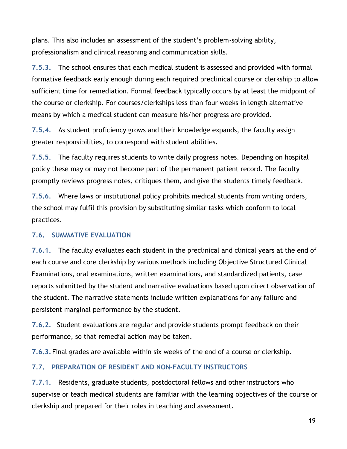plans. This also includes an assessment of the student's problem-solving ability, professionalism and clinical reasoning and communication skills.

**7.5.3.** The school ensures that each medical student is assessed and provided with formal formative feedback early enough during each required preclinical course or clerkship to allow sufficient time for remediation. Formal feedback typically occurs by at least the midpoint of the course or clerkship. For courses/clerkships less than four weeks in length alternative means by which a medical student can measure his/her progress are provided.

**7.5.4.** As student proficiency grows and their knowledge expands, the faculty assign greater responsibilities, to correspond with student abilities.

**7.5.5.** The faculty requires students to write daily progress notes. Depending on hospital policy these may or may not become part of the permanent patient record. The faculty promptly reviews progress notes, critiques them, and give the students timely feedback.

**7.5.6.** Where laws or institutional policy prohibits medical students from writing orders, the school may fulfil this provision by substituting similar tasks which conform to local practices.

#### **7.6. SUMMATIVE EVALUATION**

**7.6.1.** The faculty evaluates each student in the preclinical and clinical years at the end of each course and core clerkship by various methods including Objective Structured Clinical Examinations, oral examinations, written examinations, and standardized patients, case reports submitted by the student and narrative evaluations based upon direct observation of the student. The narrative statements include written explanations for any failure and persistent marginal performance by the student.

**7.6.2.** Student evaluations are regular and provide students prompt feedback on their performance, so that remedial action may be taken.

**7.6.3.** Final grades are available within six weeks of the end of a course or clerkship.

# **7.7. PREPARATION OF RESIDENT AND NON-FACULTY INSTRUCTORS**

**7.7.1.** Residents, graduate students, postdoctoral fellows and other instructors who supervise or teach medical students are familiar with the learning objectives of the course or clerkship and prepared for their roles in teaching and assessment.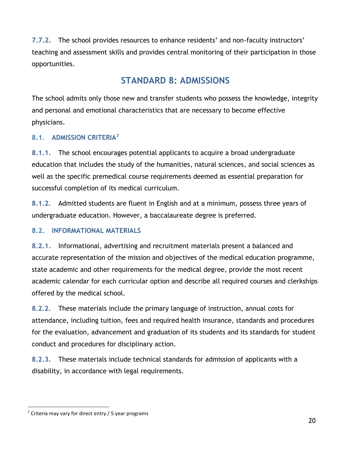**7.7.2.** The school provides resources to enhance residents' and non-faculty instructors' teaching and assessment skills and provides central monitoring of their participation in those opportunities.

# **STANDARD 8: ADMISSIONS**

The school admits only those new and transfer students who possess the knowledge, integrity and personal and emotional characteristics that are necessary to become effective physicians.

# **8.1. ADMISSION CRITERIA<sup>7</sup>**

**8.1.1.** The school encourages potential applicants to acquire a broad undergraduate education that includes the study of the humanities, natural sciences, and social sciences as well as the specific premedical course requirements deemed as essential preparation for successful completion of its medical curriculum.

**8.1.2.** Admitted students are fluent in English and at a minimum, possess three years of undergraduate education. However, a baccalaureate degree is preferred.

# **8.2. INFORMATIONAL MATERIALS**

**8.2.1.** Informational, advertising and recruitment materials present a balanced and accurate representation of the mission and objectives of the medical education programme, state academic and other requirements for the medical degree, provide the most recent academic calendar for each curricular option and describe all required courses and clerkships offered by the medical school.

**8.2.2.** These materials include the primary language of instruction, annual costs for attendance, including tuition, fees and required health insurance, standards and procedures for the evaluation, advancement and graduation of its students and its standards for student conduct and procedures for disciplinary action.

**8.2.3.** These materials include technical standards for admission of applicants with a disability, in accordance with legal requirements.

 $7$  Criteria may vary for direct entry / 5 year programs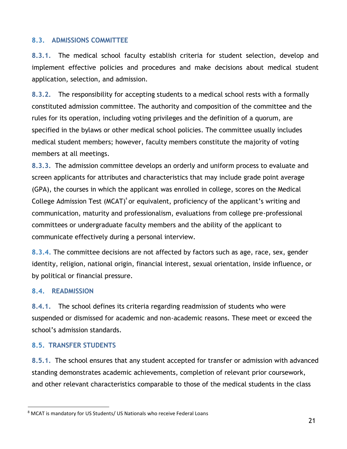#### **8.3. ADMISSIONS COMMITTEE**

**8.3.1.** The medical school faculty establish criteria for student selection, develop and implement effective policies and procedures and make decisions about medical student application, selection, and admission.

**8.3.2.** The responsibility for accepting students to a medical school rests with a formally constituted admission committee. The authority and composition of the committee and the rules for its operation, including voting privileges and the definition of a quorum, are specified in the bylaws or other medical school policies. The committee usually includes medical student members; however, faculty members constitute the majority of voting members at all meetings.

**8.3.3.** The admission committee develops an orderly and uniform process to evaluate and screen applicants for attributes and characteristics that may include grade point average (GPA), the courses in which the applicant was enrolled in college, scores on the Medical College Admission Test (MCAT)<sup>8</sup> or equivalent, proficiency of the applicant's writing and communication, maturity and professionalism, evaluations from college pre-professional committees or undergraduate faculty members and the ability of the applicant to communicate effectively during a personal interview.

**8.3.4.** The committee decisions are not affected by factors such as age, race, sex, gender identity, religion, national origin, financial interest, sexual orientation, inside influence, or by political or financial pressure.

#### **8.4. READMISSION**

**8.4.1.** The school defines its criteria regarding readmission of students who were suspended or dismissed for academic and non-academic reasons. These meet or exceed the school's admission standards.

#### **8.5. TRANSFER STUDENTS**

**8.5.1.** The school ensures that any student accepted for transfer or admission with advanced standing demonstrates academic achievements, completion of relevant prior coursework, and other relevant characteristics comparable to those of the medical students in the class

<sup>8</sup> MCAT is mandatory for US Students/ US Nationals who receive Federal Loans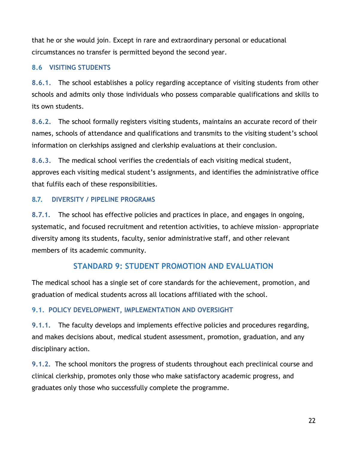that he or she would join. Except in rare and extraordinary personal or educational circumstances no transfer is permitted beyond the second year.

# **8.6 VISITING STUDENTS**

**8.6.1.** The school establishes a policy regarding acceptance of visiting students from other schools and admits only those individuals who possess comparable qualifications and skills to its own students.

**8.6.2.** The school formally registers visiting students, maintains an accurate record of their names, schools of attendance and qualifications and transmits to the visiting student's school information on clerkships assigned and clerkship evaluations at their conclusion.

**8.6.3.** The medical school verifies the credentials of each visiting medical student, approves each visiting medical student's assignments, and identifies the administrative office that fulfils each of these responsibilities.

# **8.7. DIVERSITY / PIPELINE PROGRAMS**

**8.7.1.** The school has effective policies and practices in place, and engages in ongoing, systematic, and focused recruitment and retention activities, to achieve mission- appropriate diversity among its students, faculty, senior administrative staff, and other relevant members of its academic community.

# **STANDARD 9: STUDENT PROMOTION AND EVALUATION**

The medical school has a single set of core standards for the achievement, promotion, and graduation of medical students across all locations affiliated with the school.

# **9.1. POLICY DEVELOPMENT, IMPLEMENTATION AND OVERSIGHT**

**9.1.1.** The faculty develops and implements effective policies and procedures regarding, and makes decisions about, medical student assessment, promotion, graduation, and any disciplinary action.

**9.1.2.** The school monitors the progress of students throughout each preclinical course and clinical clerkship, promotes only those who make satisfactory academic progress, and graduates only those who successfully complete the programme.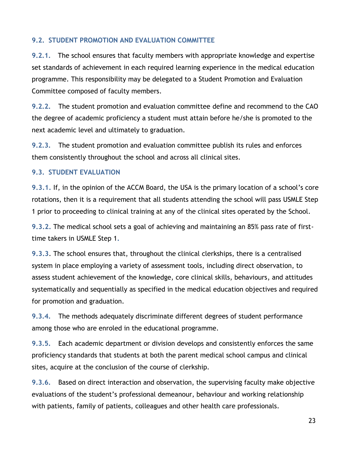# **9.2. STUDENT PROMOTION AND EVALUATION COMMITTEE**

**9.2.1.** The school ensures that faculty members with appropriate knowledge and expertise set standards of achievement in each required learning experience in the medical education programme. This responsibility may be delegated to a Student Promotion and Evaluation Committee composed of faculty members.

**9.2.2.** The student promotion and evaluation committee define and recommend to the CAO the degree of academic proficiency a student must attain before he/she is promoted to the next academic level and ultimately to graduation.

**9.2.3.** The student promotion and evaluation committee publish its rules and enforces them consistently throughout the school and across all clinical sites.

#### **9.3. STUDENT EVALUATION**

**9.3.1.** If, in the opinion of the ACCM Board, the USA is the primary location of a school's core rotations, then it is a requirement that all students attending the school will pass USMLE Step 1 prior to proceeding to clinical training at any of the clinical sites operated by the School.

**9.3.2.** The medical school sets a goal of achieving and maintaining an 85% pass rate of firsttime takers in USMLE Step 1**.**

**9.3.3**. The school ensures that, throughout the clinical clerkships, there is a centralised system in place employing a variety of assessment tools, including direct observation, to assess student achievement of the knowledge, core clinical skills, behaviours, and attitudes systematically and sequentially as specified in the medical education objectives and required for promotion and graduation.

**9.3.4.** The methods adequately discriminate different degrees of student performance among those who are enroled in the educational programme.

**9.3.5.** Each academic department or division develops and consistently enforces the same proficiency standards that students at both the parent medical school campus and clinical sites, acquire at the conclusion of the course of clerkship.

**9.3.6.** Based on direct interaction and observation, the supervising faculty make objective evaluations of the student's professional demeanour, behaviour and working relationship with patients, family of patients, colleagues and other health care professionals.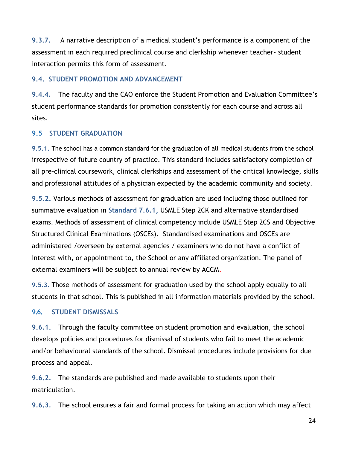**9.3.7.** A narrative description of a medical student's performance is a component of the assessment in each required preclinical course and clerkship whenever teacher- student interaction permits this form of assessment.

#### **9.4. STUDENT PROMOTION AND ADVANCEMENT**

**9.4.4.** The faculty and the CAO enforce the Student Promotion and Evaluation Committee's student performance standards for promotion consistently for each course and across all sites.

#### **9.5 STUDENT GRADUATION**

**9.5.1.** The school has a common standard for the graduation of all medical students from the school irrespective of future country of practice. This standard includes satisfactory completion of all pre-clinical coursework, clinical clerkships and assessment of the critical knowledge, skills and professional attitudes of a physician expected by the academic community and society.

**9.5.2.** Various methods of assessment for graduation are used including those outlined for summative evaluation in **Standard 7.6.1,** USMLE Step 2CK and alternative standardised exams. Methods of assessment of clinical competency include USMLE Step 2CS and Objective Structured Clinical Examinations (OSCEs). Standardised examinations and OSCEs are administered /overseen by external agencies / examiners who do not have a conflict of interest with, or appointment to, the School or any affiliated organization. The panel of external examiners will be subject to annual review by ACCM.

**9.5.3.** Those methods of assessment for graduation used by the school apply equally to all students in that school. This is published in all information materials provided by the school.

#### **9.6. STUDENT DISMISSALS**

**9.6.1.** Through the faculty committee on student promotion and evaluation, the school develops policies and procedures for dismissal of students who fail to meet the academic and/or behavioural standards of the school. Dismissal procedures include provisions for due process and appeal.

**9.6.2.** The standards are published and made available to students upon their matriculation.

**9.6.3.** The school ensures a fair and formal process for taking an action which may affect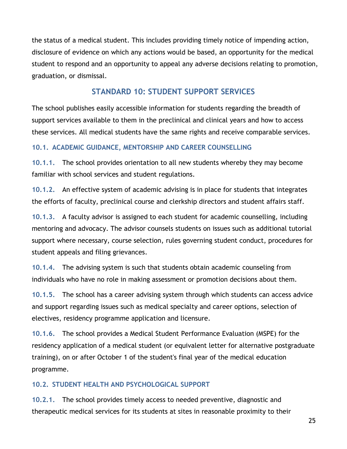the status of a medical student. This includes providing timely notice of impending action, disclosure of evidence on which any actions would be based, an opportunity for the medical student to respond and an opportunity to appeal any adverse decisions relating to promotion, graduation, or dismissal.

# **STANDARD 10: STUDENT SUPPORT SERVICES**

The school publishes easily accessible information for students regarding the breadth of support services available to them in the preclinical and clinical years and how to access these services. All medical students have the same rights and receive comparable services.

# **10.1. ACADEMIC GUIDANCE, MENTORSHIP AND CAREER COUNSELLING**

**10.1.1.** The school provides orientation to all new students whereby they may become familiar with school services and student regulations.

**10.1.2.** An effective system of academic advising is in place for students that integrates the efforts of faculty, preclinical course and clerkship directors and student affairs staff.

**10.1.3.** A faculty advisor is assigned to each student for academic counselling, including mentoring and advocacy. The advisor counsels students on issues such as additional tutorial support where necessary, course selection, rules governing student conduct, procedures for student appeals and filing grievances.

**10.1.4.** The advising system is such that students obtain academic counseling from individuals who have no role in making assessment or promotion decisions about them.

**10.1.5.** The school has a career advising system through which students can access advice and support regarding issues such as medical specialty and career options, selection of electives, residency programme application and licensure.

**10.1.6.** The school provides a Medical Student Performance Evaluation (MSPE) for the residency application of a medical student (or equivalent letter for alternative postgraduate training), on or after October 1 of the student's final year of the medical education programme.

# **10.2. STUDENT HEALTH AND PSYCHOLOGICAL SUPPORT**

**10.2.1.** The school provides timely access to needed preventive, diagnostic and therapeutic medical services for its students at sites in reasonable proximity to their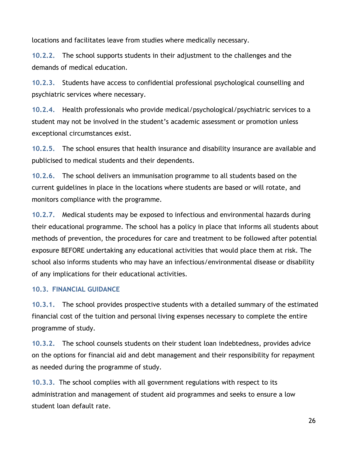locations and facilitates leave from studies where medically necessary.

**10.2.2.** The school supports students in their adjustment to the challenges and the demands of medical education.

**10.2.3.** Students have access to confidential professional psychological counselling and psychiatric services where necessary.

**10.2.4.** Health professionals who provide medical/psychological/psychiatric services to a student may not be involved in the student's academic assessment or promotion unless exceptional circumstances exist.

**10.2.5.** The school ensures that health insurance and disability insurance are available and publicised to medical students and their dependents.

**10.2.6.** The school delivers an immunisation programme to all students based on the current guidelines in place in the locations where students are based or will rotate, and monitors compliance with the programme.

**10.2.7.** Medical students may be exposed to infectious and environmental hazards during their educational programme. The school has a policy in place that informs all students about methods of prevention, the procedures for care and treatment to be followed after potential exposure BEFORE undertaking any educational activities that would place them at risk. The school also informs students who may have an infectious/environmental disease or disability of any implications for their educational activities.

#### **10.3. FINANCIAL GUIDANCE**

**10.3.1.** The school provides prospective students with a detailed summary of the estimated financial cost of the tuition and personal living expenses necessary to complete the entire programme of study.

**10.3.2.** The school counsels students on their student loan indebtedness, provides advice on the options for financial aid and debt management and their responsibility for repayment as needed during the programme of study.

**10.3.3.** The school complies with all government regulations with respect to its administration and management of student aid programmes and seeks to ensure a low student loan default rate.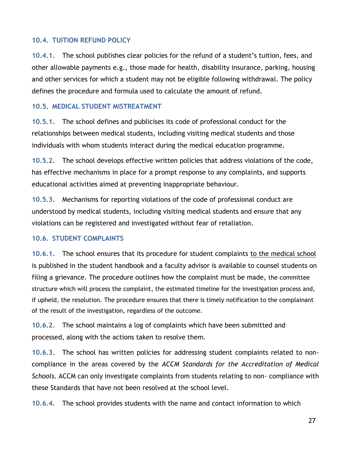#### **10.4. TUITION REFUND POLICY**

**10.4.1.** The school publishes clear policies for the refund of a student's tuition, fees, and other allowable payments e.g., those made for health, disability insurance, parking, housing and other services for which a student may not be eligible following withdrawal. The policy defines the procedure and formula used to calculate the amount of refund.

#### **10.5. MEDICAL STUDENT MISTREATMENT**

**10.5.1.** The school defines and publicises its code of professional conduct for the relationships between medical students, including visiting medical students and those individuals with whom students interact during the medical education programme.

**10.5.2.** The school develops effective written policies that address violations of the code, has effective mechanisms in place for a prompt response to any complaints, and supports educational activities aimed at preventing inappropriate behaviour.

**10.5.3.** Mechanisms for reporting violations of the code of professional conduct are understood by medical students, including visiting medical students and ensure that any violations can be registered and investigated without fear of retaliation.

#### **10.6. STUDENT COMPLAINTS**

**10.6.1.** The school ensures that its procedure for student complaints to the medical school is published in the student handbook and a faculty advisor is available to counsel students on filing a grievance. The procedure outlines how the complaint must be made, the committee structure which will process the complaint, the estimated timeline for the investigation process and, if upheld, the resolution. The procedure ensures that there is timely notification to the complainant of the result of the investigation, regardless of the outcome.

**10.6.2.** The school maintains a log of complaints which have been submitted and processed, along with the actions taken to resolve them.

**10.6.3.** The school has written policies for addressing student complaints related to noncompliance in the areas covered by the *ACCM Standards for the Accreditation of Medical Schools.* ACCM can only investigate complaints from students relating to non- compliance with these Standards that have not been resolved at the school level.

**10.6.4.** The school provides students with the name and contact information to which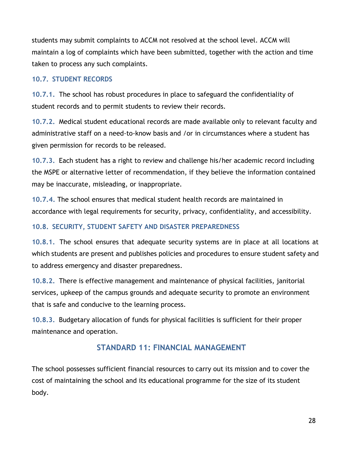students may submit complaints to ACCM not resolved at the school level. ACCM will maintain a log of complaints which have been submitted, together with the action and time taken to process any such complaints.

### **10.7. STUDENT RECORDS**

**10.7.1.** The school has robust procedures in place to safeguard the confidentiality of student records and to permit students to review their records.

**10.7.2.** Medical student educational records are made available only to relevant faculty and administrative staff on a need-to-know basis and /or in circumstances where a student has given permission for records to be released.

**10.7.3.** Each student has a right to review and challenge his/her academic record including the MSPE or alternative letter of recommendation, if they believe the information contained may be inaccurate, misleading, or inappropriate.

**10.7.4.** The school ensures that medical student health records are maintained in accordance with legal requirements for security, privacy, confidentiality, and accessibility.

# **10.8. SECURITY, STUDENT SAFETY AND DISASTER PREPAREDNESS**

**10.8.1.** The school ensures that adequate security systems are in place at all locations at which students are present and publishes policies and procedures to ensure student safety and to address emergency and disaster preparedness.

**10.8.2.** There is effective management and maintenance of physical facilities, janitorial services, upkeep of the campus grounds and adequate security to promote an environment that is safe and conducive to the learning process.

**10.8.3.** Budgetary allocation of funds for physical facilities is sufficient for their proper maintenance and operation.

# **STANDARD 11: FINANCIAL MANAGEMENT**

The school possesses sufficient financial resources to carry out its mission and to cover the cost of maintaining the school and its educational programme for the size of its student body.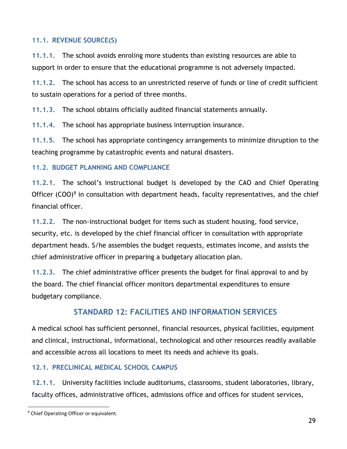# **11.1. REVENUE SOURCE(S)**

**11.1.1.** The school avoids enroling more students than existing resources are able to support in order to ensure that the educational programme is not adversely impacted.

**11.1.2.** The school has access to an unrestricted reserve of funds or line of credit sufficient to sustain operations for a period of three months.

**11.1.3.** The school obtains officially audited financial statements annually.

**11.1.4.** The school has appropriate business interruption insurance.

**11.1.5.** The school has appropriate contingency arrangements to minimize disruption to the teaching programme by catastrophic events and natural disasters.

#### **11.2. BUDGET PLANNING AND COMPLIANCE**

**11.2.1.** The school's instructional budget is developed by the CAO and Chief Operating Officer (COO)<sup>9</sup> in consultation with department heads, faculty representatives, and the chief financial officer.

**11.2.2.** The non-instructional budget for items such as student housing, food service, security, etc. is developed by the chief financial officer in consultation with appropriate department heads. S/he assembles the budget requests, estimates income, and assists the chief administrative officer in preparing a budgetary allocation plan.

**11.2.3.** The chief administrative officer presents the budget for final approval to and by the board. The chief financial officer monitors departmental expenditures to ensure budgetary compliance.

# **STANDARD 12: FACILITIES AND INFORMATION SERVICES**

A medical school has sufficient personnel, financial resources, physical facilities, equipment and clinical, instructional, informational, technological and other resources readily available and accessible across all locations to meet its needs and achieve its goals.

# **12.1. PRECLINICAL MEDICAL SCHOOL CAMPUS**

**12.1.1.** University facilities include auditoriums, classrooms, student laboratories, library, faculty offices, administrative offices, admissions office and offices for student services,

<sup>&</sup>lt;sup>9</sup> Chief Operating Officer or equivalent.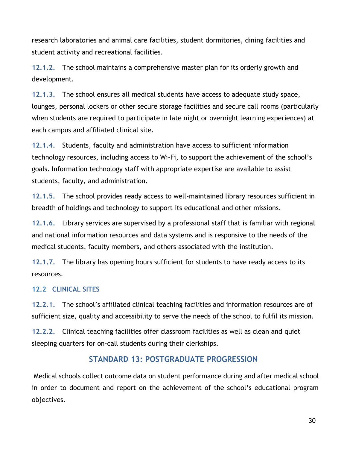research laboratories and animal care facilities, student dormitories, dining facilities and student activity and recreational facilities.

**12.1.2.** The school maintains a comprehensive master plan for its orderly growth and development.

**12.1.3.** The school ensures all medical students have access to adequate study space, lounges, personal lockers or other secure storage facilities and secure call rooms (particularly when students are required to participate in late night or overnight learning experiences) at each campus and affiliated clinical site.

**12.1.4.** Students, faculty and administration have access to sufficient information technology resources, including access to Wi-Fi, to support the achievement of the school's goals. Information technology staff with appropriate expertise are available to assist students, faculty, and administration.

**12.1.5.** The school provides ready access to well-maintained library resources sufficient in breadth of holdings and technology to support its educational and other missions.

**12.1.6.** Library services are supervised by a professional staff that is familiar with regional and national information resources and data systems and is responsive to the needs of the medical students, faculty members, and others associated with the institution.

**12.1.7.** The library has opening hours sufficient for students to have ready access to its resources.

#### **12.2 CLINICAL SITES**

**12.2.1.** The school's affiliated clinical teaching facilities and information resources are of sufficient size, quality and accessibility to serve the needs of the school to fulfil its mission.

**12.2.2.** Clinical teaching facilities offer classroom facilities as well as clean and quiet sleeping quarters for on-call students during their clerkships.

# **STANDARD 13: POSTGRADUATE PROGRESSION**

Medical schools collect outcome data on student performance during and after medical school in order to document and report on the achievement of the school's educational program objectives.